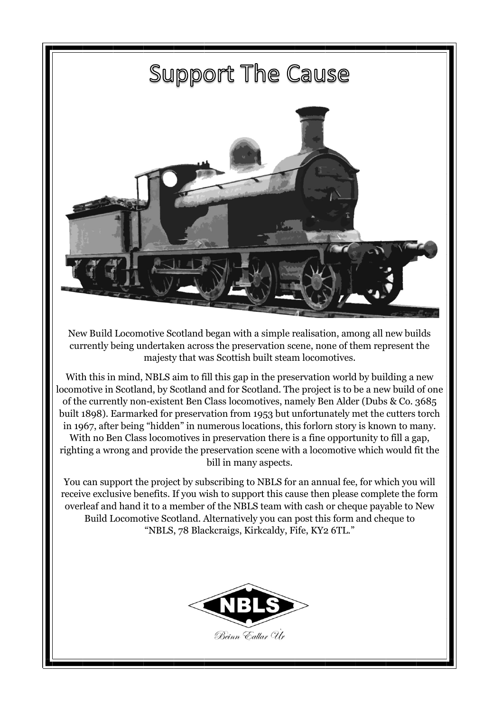

New Build Locomotive Scotland began with a simple realisation, among all new builds currently being undertaken across the preservation scene, none of them represent the majesty that was Scottish built steam locomotives.

With this in mind, NBLS aim to fill this gap in the preservation world by building a new locomotive in Scotland, by Scotland and for Scotland. The project is to be a new build of one of the currently non-existent Ben Class locomotives, namely Ben Alder (Dubs & Co. 3685 built 1898). Earmarked for preservation from 1953 but unfortunately met the cutters torch in 1967, after being "hidden" in numerous locations, this forlorn story is known to many. With no Ben Class locomotives in preservation there is a fine opportunity to fill a gap, righting a wrong and provide the preservation scene with a locomotive which would fit the bill in many aspects.

You can support the project by subscribing to NBLS for an annual fee, for which you will receive exclusive benefits. If you wish to support this cause then please complete the form overleaf and hand it to a member of the NBLS team with cash or cheque payable to New Build Locomotive Scotland. Alternatively you can post this form and cheque to "NBLS, 78 Blackcraigs, Kirkcaldy, Fife, KY2 6TL."